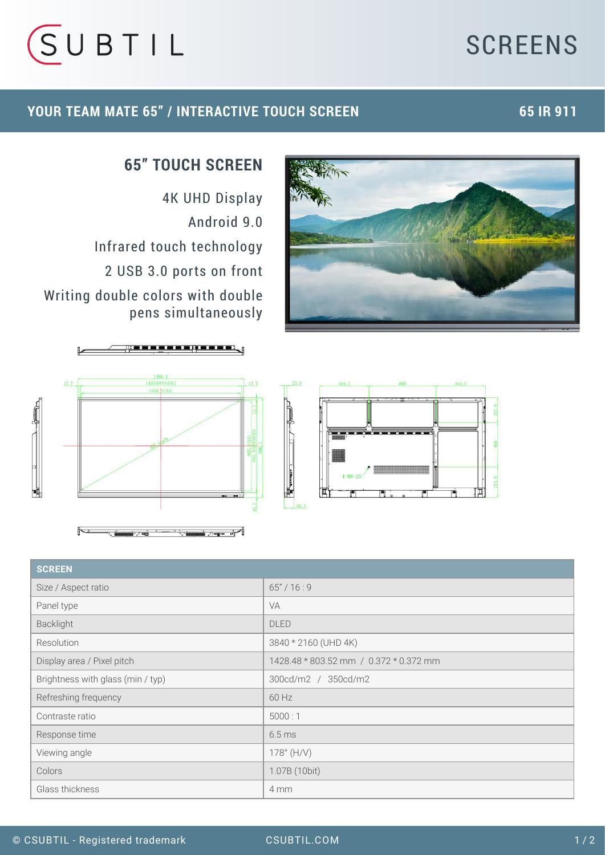# **SCREENS**



 $\mathbf{a}$ 

### **YOUR TEAM MATE 65" / INTERACTIVE TOUCH SCREEN**

## **65 IR 911**



## **65" TOUCH SCREEN**

4K UHD Display Android 9.0 Infrared touch technology 2 USB 3.0 ports on front Writing double colors with double pens simultaneously







| <b>SCREEN</b>                     |                                        |
|-----------------------------------|----------------------------------------|
| Size / Aspect ratio               | 65''/16:9                              |
| Panel type                        | <b>VA</b>                              |
| Backlight                         | <b>DLED</b>                            |
| Resolution                        | 3840 * 2160 (UHD 4K)                   |
| Display area / Pixel pitch        | 1428.48 * 803.52 mm / 0.372 * 0.372 mm |
| Brightness with glass (min / typ) | 300cd/m2 / 350cd/m2                    |
| Refreshing frequency              | 60 Hz                                  |
| Contraste ratio                   | 5000:1                                 |
| Response time                     | 6.5 <sub>ms</sub>                      |
| Viewing angle                     | $178^{\circ}$ (H/V)                    |
| Colors                            | 1.07B (10bit)                          |
| Glass thickness                   | 4 mm                                   |